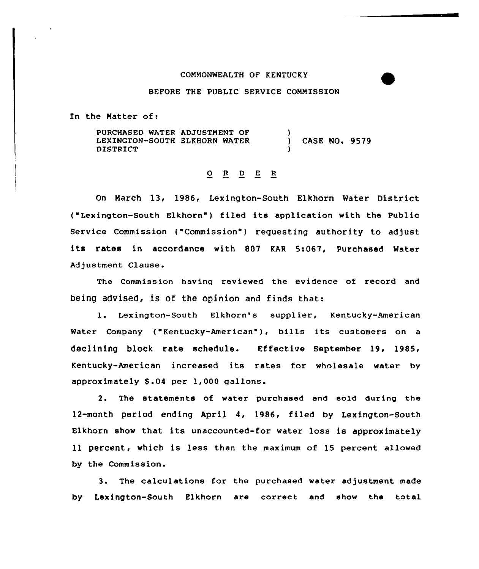### COMMONWEALTH OF KENTUCKY

### BEFORE THE PUBLIC SERVICE COMMISSION

In the Natter of:

PURCHASED WATER ADJUSTMENT OF LEXINGTON-SOUTH ELKHORN WATER DISTRICT ) ) CASE NO. 9579 }

# 0 R <sup>D</sup> <sup>E</sup> <sup>R</sup>

On Narch 13, 1986, Lexington-South Elkhorn Water District ('exington-South Elkhorn") filed its application with the Public Service Commission ("Commission" ) requesting authority to adjust its rates in accordance with 807 KAR 5i067, Purchased Mater Adjustment Clause.

The Commission having reviewed the evidence of record and being advised, is of the opinion and finds that:

1. Lexington-South Elkhorn's supplier, Kentucky-American Water Company ("Kentucky-American"}, bills its customers on <sup>a</sup> declining block rate schedule. Effective September 19, 1985, Kentucky-American increased its rates for wholesale water by approximately \$.04 per 1,000 gallons.

2. The statements of water purchased and sold during the 12-month period ending April 4, 1986, filed by Lexington-South Elkhorn show that its unaccounted-for water loss is approximately 11 percent, which is less than the maximum of 15 percent allowed by the Commission.

3. The calculations for the purchased water adjustment made by Lexington-South Elkhorn are correct and show the total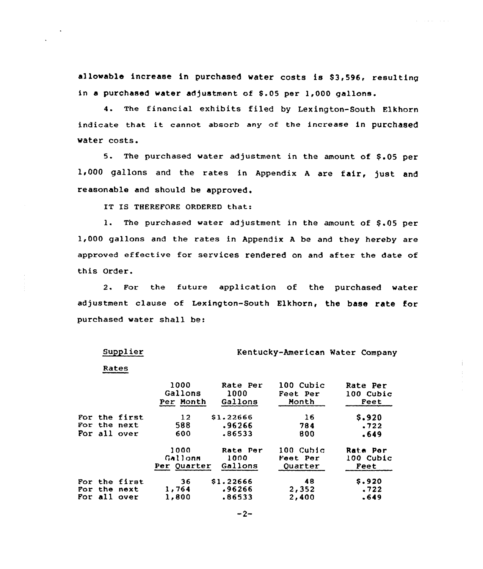allowable increase in purchased water costs is \$3,596, resulting in a purchased water adjustment of 5.05 per 1,000 gallons.

4. The financial exhibits filed by Lexington-South Elkhorn indicate that it cannot absorb any of the increase in purchased water costs.

5. The purchased water adjustment in the amount of \$.05 per 1,000 gallons and the rates in Appendix <sup>A</sup> are fair, just and reasonable and should be approved.

IT IS THEREFORE ORDERED that:

1. The purchased water adjustment in the amount of \$.05 per 1,000 gallons and the rates in Appendix <sup>A</sup> be and they hereby are approved effective for services rendered on and after the date of this Order.

2. For the future application of the purchased water adjustment clause of Lexington-South Elkhorn, the base rate for purchased water shall be:

Kentucky-American Water Company

 $\omega$  is a second contract of

Rates

Supplier

|  |               | 1000<br>Gallons<br>Per Month | Rate Per<br>1000<br>Gallons | 100 Cubic<br>Feet Per<br>Month | Rate Per<br>100 Cubic<br>Feet |
|--|---------------|------------------------------|-----------------------------|--------------------------------|-------------------------------|
|  | For the first | 12                           | \$1.22666                   | 16                             | \$.920                        |
|  | For the next  | 588                          | .96266                      | 784                            | .722                          |
|  | For all over  | 600                          | .86533                      | 800                            | .649                          |
|  |               | 1000<br>Gallons              | Rate Per<br>1000            | 100 Cubic<br>Feet Per          | Rate Por<br>100 Cubic         |
|  |               | Per Ouarter                  | Gallons                     | Ouarter                        | Feet                          |
|  | For the first | 36                           | \$1,22666                   | -48                            | \$.920                        |
|  | For the next  | 1,764                        | .96266                      | 2,352                          | .722                          |
|  | For all over  | 1,800                        | .86533                      | 2,400                          | .649                          |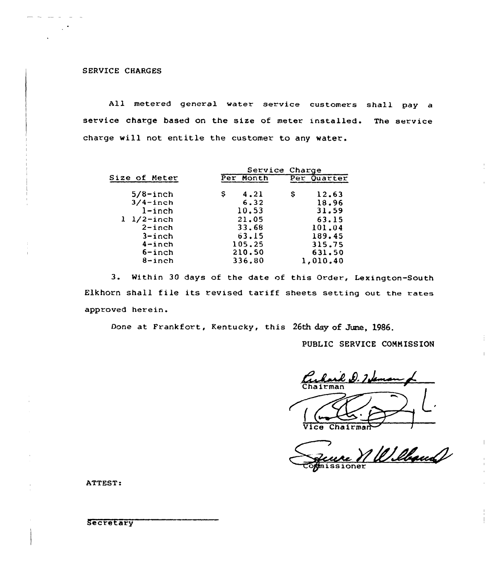## SERVICE CHARGES

All metered general water service customers shall pay a service charge based on the size of meter installed. The service charge will not entitle the customer to any water.

|                       | Service Charge |             |  |
|-----------------------|----------------|-------------|--|
| <b>Size of Meter</b>  | Per Month      | Per Quarter |  |
| $5/8$ -inch           | 4.21<br>s      | 12.63<br>s  |  |
| $3/4$ -inch           | 6.32           | 18.96       |  |
| $l$ -inch             | 10.53          | 31.59       |  |
| $1 \frac{1}{2}$ -inch | 21.05          | 63.15       |  |
| $2 - inch$            | 33.68          | 101.04      |  |
| $3$ -inch             | 63.15          | 189.45      |  |
| $4$ -inch             | 105.25         | 315.75      |  |
| $6$ -inch             | 210.50         | 631.50      |  |
| $8 - inch$            | 336.80         | 1,010.40    |  |

3. Within 30 days of the date of this Order, Lexington-South Elkhorn shall file its revised tariff sheets setting out the rates approved herein.

Done at Frankfort, Kentucky, this 26th day of June, 1986.

PUBLIC SERVICE COMMISSION

Chairma

Vice Chairman

1 Willand issioner

ATTEST:

**Secretary**